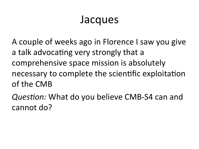#### Jacques

A couple of weeks ago in Florence I saw you give a talk advocating very strongly that a comprehensive space mission is absolutely necessary to complete the scientific exploitation of the CMB

Question: What do you believe CMB-S4 can and cannot do?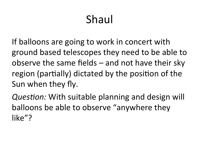# Shaul

If balloons are going to work in concert with ground based telescopes they need to be able to observe the same fields  $-$  and not have their sky region (partially) dictated by the position of the Sun when they fly.

*Question:* With suitable planning and design will balloons be able to observe "anywhere they like"?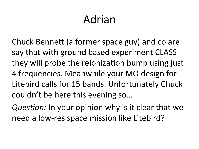## Adrian

Chuck Bennett (a former space guy) and co are say that with ground based experiment CLASS they will probe the reionization bump using just 4 frequencies. Meanwhile your MO design for Litebird calls for 15 bands. Unfortunately Chuck couldn't be here this evening so...

*Question:* In your opinion why is it clear that we need a low-res space mission like Litebird?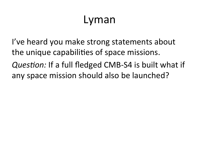### Lyman

I've heard you make strong statements about the unique capabilities of space missions. *Question:* If a full fledged CMB-S4 is built what if any space mission should also be launched?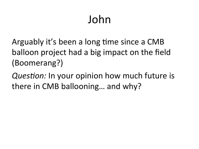# John

Arguably it's been a long time since a CMB balloon project had a big impact on the field (Boomerang?) 

*Question:* In your opinion how much future is there in CMB ballooning... and why?